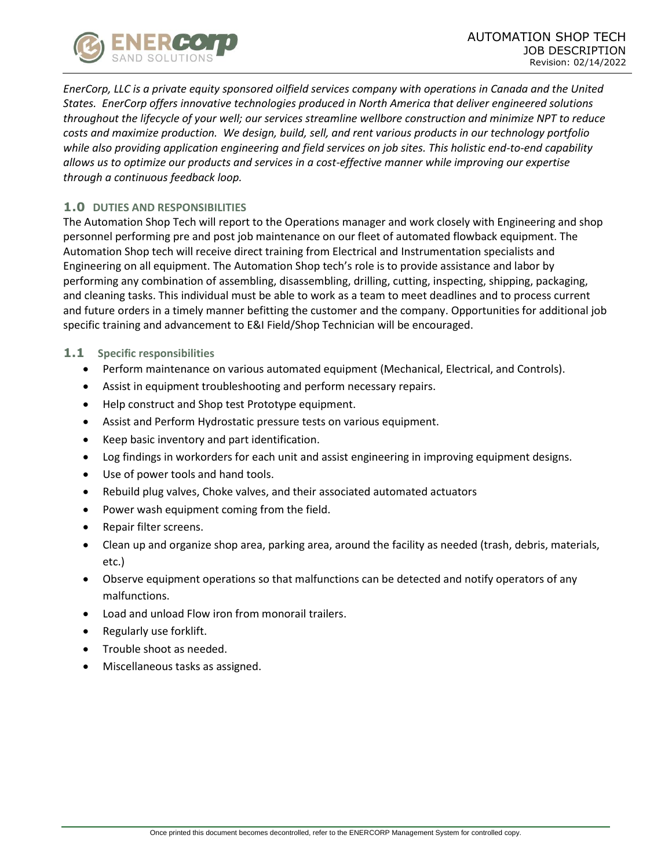

*EnerCorp, LLC is a private equity sponsored oilfield services company with operations in Canada and the United States. EnerCorp offers innovative technologies produced in North America that deliver engineered solutions throughout the lifecycle of your well; our services streamline wellbore construction and minimize NPT to reduce costs and maximize production. We design, build, sell, and rent various products in our technology portfolio while also providing application engineering and field services on job sites. This holistic end-to-end capability allows us to optimize our products and services in a cost-effective manner while improving our expertise through a continuous feedback loop.*

# **1.0 DUTIES AND RESPONSIBILITIES**

The Automation Shop Tech will report to the Operations manager and work closely with Engineering and shop personnel performing pre and post job maintenance on our fleet of automated flowback equipment. The Automation Shop tech will receive direct training from Electrical and Instrumentation specialists and Engineering on all equipment. The Automation Shop tech's role is to provide assistance and labor by performing any combination of assembling, disassembling, drilling, cutting, inspecting, shipping, packaging, and cleaning tasks. This individual must be able to work as a team to meet deadlines and to process current and future orders in a timely manner befitting the customer and the company. Opportunities for additional job specific training and advancement to E&I Field/Shop Technician will be encouraged.

#### **1.1 Specific responsibilities**

- Perform maintenance on various automated equipment (Mechanical, Electrical, and Controls).
- Assist in equipment troubleshooting and perform necessary repairs.
- Help construct and Shop test Prototype equipment.
- Assist and Perform Hydrostatic pressure tests on various equipment.
- Keep basic inventory and part identification.
- Log findings in workorders for each unit and assist engineering in improving equipment designs.
- Use of power tools and hand tools.
- Rebuild plug valves, Choke valves, and their associated automated actuators
- Power wash equipment coming from the field.
- Repair filter screens.
- Clean up and organize shop area, parking area, around the facility as needed (trash, debris, materials, etc.)
- Observe equipment operations so that malfunctions can be detected and notify operators of any malfunctions.
- Load and unload Flow iron from monorail trailers.
- Regularly use forklift.
- Trouble shoot as needed.
- Miscellaneous tasks as assigned.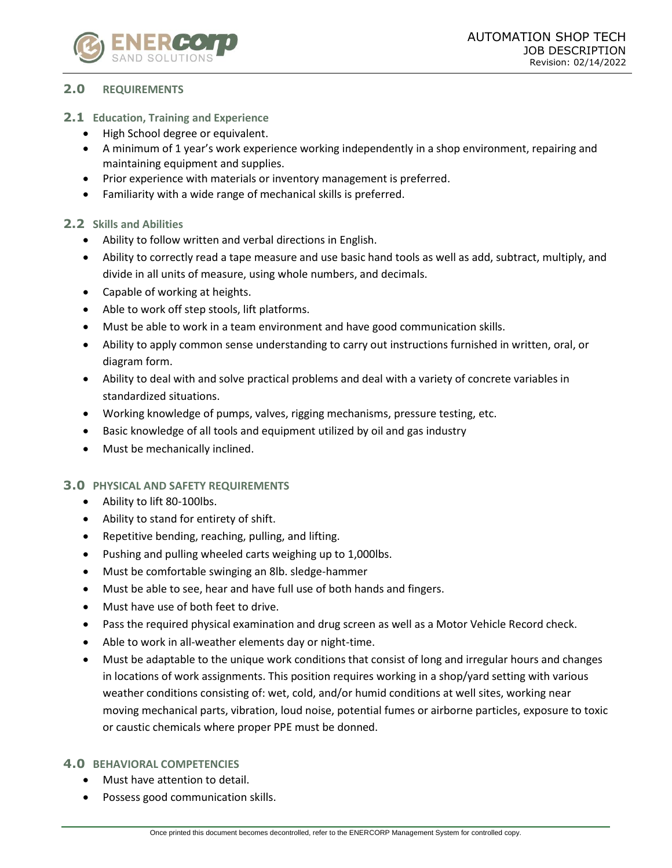

# **2.0 REQUIREMENTS**

## **2.1 Education, Training and Experience**

- High School degree or equivalent.
- A minimum of 1 year's work experience working independently in a shop environment, repairing and maintaining equipment and supplies.
- Prior experience with materials or inventory management is preferred.
- Familiarity with a wide range of mechanical skills is preferred.

## **2.2 Skills and Abilities**

- Ability to follow written and verbal directions in English.
- Ability to correctly read a tape measure and use basic hand tools as well as add, subtract, multiply, and divide in all units of measure, using whole numbers, and decimals.
- Capable of working at heights.
- Able to work off step stools, lift platforms.
- Must be able to work in a team environment and have good communication skills.
- Ability to apply common sense understanding to carry out instructions furnished in written, oral, or diagram form.
- Ability to deal with and solve practical problems and deal with a variety of concrete variables in standardized situations.
- Working knowledge of pumps, valves, rigging mechanisms, pressure testing, etc.
- Basic knowledge of all tools and equipment utilized by oil and gas industry
- Must be mechanically inclined.

#### **3.0 PHYSICAL AND SAFETY REQUIREMENTS**

- Ability to lift 80-100lbs.
- Ability to stand for entirety of shift.
- Repetitive bending, reaching, pulling, and lifting.
- Pushing and pulling wheeled carts weighing up to 1,000lbs.
- Must be comfortable swinging an 8lb. sledge-hammer
- Must be able to see, hear and have full use of both hands and fingers.
- Must have use of both feet to drive.
- Pass the required physical examination and drug screen as well as a Motor Vehicle Record check.
- Able to work in all-weather elements day or night-time.
- Must be adaptable to the unique work conditions that consist of long and irregular hours and changes in locations of work assignments. This position requires working in a shop/yard setting with various weather conditions consisting of: wet, cold, and/or humid conditions at well sites, working near moving mechanical parts, vibration, loud noise, potential fumes or airborne particles, exposure to toxic or caustic chemicals where proper PPE must be donned.

#### **4.0 BEHAVIORAL COMPETENCIES**

- Must have attention to detail.
- Possess good communication skills.